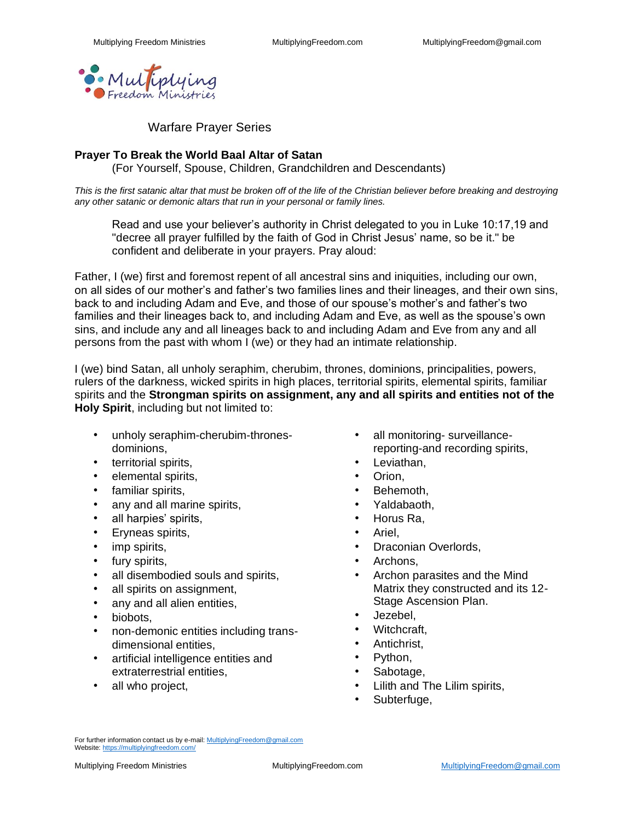

Warfare Prayer Series

#### **Prayer To Break the World Baal Altar of Satan**

(For Yourself, Spouse, Children, Grandchildren and Descendants)

*This is the first satanic altar that must be broken off of the life of the Christian believer before breaking and destroying any other satanic or demonic altars that run in your personal or family lines.*

Read and use your believer's authority in Christ delegated to you in Luke 10:17,19 and "decree all prayer fulfilled by the faith of God in Christ Jesus' name, so be it." be confident and deliberate in your prayers. Pray aloud:

Father, I (we) first and foremost repent of all ancestral sins and iniquities, including our own, on all sides of our mother's and father's two families lines and their lineages, and their own sins, back to and including Adam and Eve, and those of our spouse's mother's and father's two families and their lineages back to, and including Adam and Eve, as well as the spouse's own sins, and include any and all lineages back to and including Adam and Eve from any and all persons from the past with whom I (we) or they had an intimate relationship.

I (we) bind Satan, all unholy seraphim, cherubim, thrones, dominions, principalities, powers, rulers of the darkness, wicked spirits in high places, territorial spirits, elemental spirits, familiar spirits and the **Strongman spirits on assignment, any and all spirits and entities not of the Holy Spirit**, including but not limited to:

- unholy seraphim-cherubim-thronesdominions,
- territorial spirits,
- elemental spirits,
- familiar spirits,
- any and all marine spirits,
- all harpies' spirits,
- Eryneas spirits,
- imp spirits,
- fury spirits,
- all disembodied souls and spirits,
- all spirits on assignment,
- any and all alien entities,
- biobots,
- non-demonic entities including transdimensional entities,
- artificial intelligence entities and extraterrestrial entities,
- all who project,
- all monitoring- surveillancereporting-and recording spirits,
- Leviathan.
- Orion,
- Behemoth.
- Yaldabaoth,
- Horus Ra,
- Ariel,
- Draconian Overlords,
- Archons,
- Archon parasites and the Mind Matrix they constructed and its 12- Stage Ascension Plan.
- Jezebel,
- Witchcraft,
- Antichrist,
- Python,
- Sabotage,
- Lilith and The Lilim spirits,
- Subterfuge,

For further information contact us by e-mail[: MultiplyingFreedom@gmail.com](mailto:MultiplyingFreedom@gmail.com) Website[: https://multiplyingfreedom.com/](https://multiplyingfreedom.com/)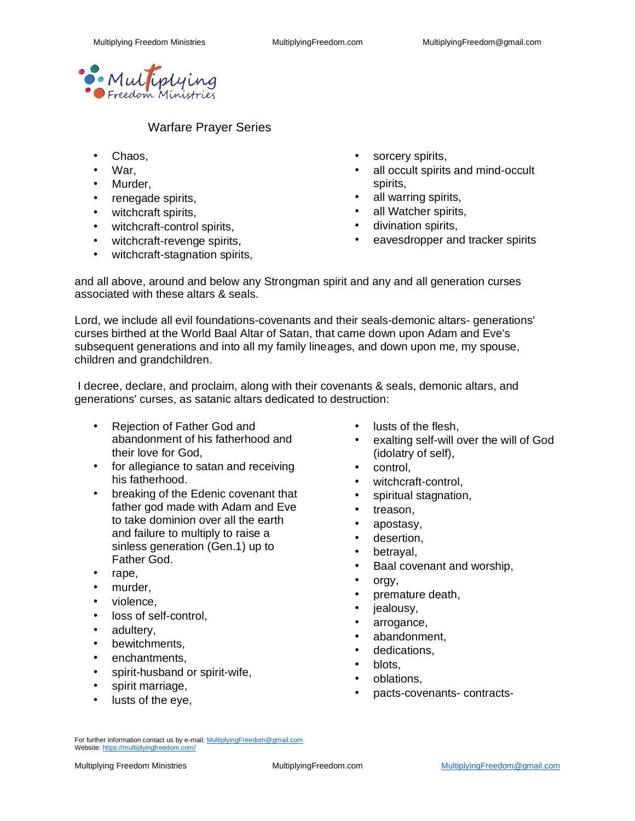

#### Warfare Prayer Series

- Chaos,
- War,
- Murder,
- renegade spirits,
- witchcraft spirits,
- witchcraft-control spirits,
- witchcraft-revenge spirits,
- witchcraft-stagnation spirits,
- sorcery spirits,
- all occult spirits and mind-occult spirits,
- all warring spirits,
- all Watcher spirits,
- divination spirits,
- eavesdropper and tracker spirits

and all above, around and below any Strongman spirit and any and all generation curses associated with these altars & seals.

Lord, we include all evil foundations-covenants and their seals-demonic altars- generations' curses birthed at the World Baal Altar of Satan, that came down upon Adam and Eve's subsequent generations and into all my family lineages, and down upon me, my spouse, children and grandchildren.

I decree, declare, and proclaim, along with their covenants & seals, demonic altars, and generations' curses, as satanic altars dedicated to destruction:

- Rejection of Father God and abandonment of his fatherhood and their love for God,
- for allegiance to satan and receiving his fatherhood.
- breaking of the Edenic covenant that father god made with Adam and Eve to take dominion over all the earth and failure to multiply to raise a sinless generation (Gen.1) up to Father God.
- rape,
- murder,
- violence.
- loss of self-control,
- adultery.
- bewitchments,
- enchantments.
- spirit-husband or spirit-wife,
- spirit marriage,
- lusts of the eye,
- lusts of the flesh.
- exalting self-will over the will of God (idolatry of self),
- control,
- witchcraft-control,
- spiritual stagnation,
- treason,
- apostasy,
- desertion.
- betrayal,
- Baal covenant and worship,
	- orgy,
- premature death,
- jealousy,
- arrogance,
- abandonment,
- dedications,
- blots,
- oblations,
- pacts-covenants- contracts-

For further information contact us by e-mail[: MultiplyingFreedom@gmail.com](mailto:MultiplyingFreedom@gmail.com) Website[: https://multiplyingfreedom.com/](https://multiplyingfreedom.com/)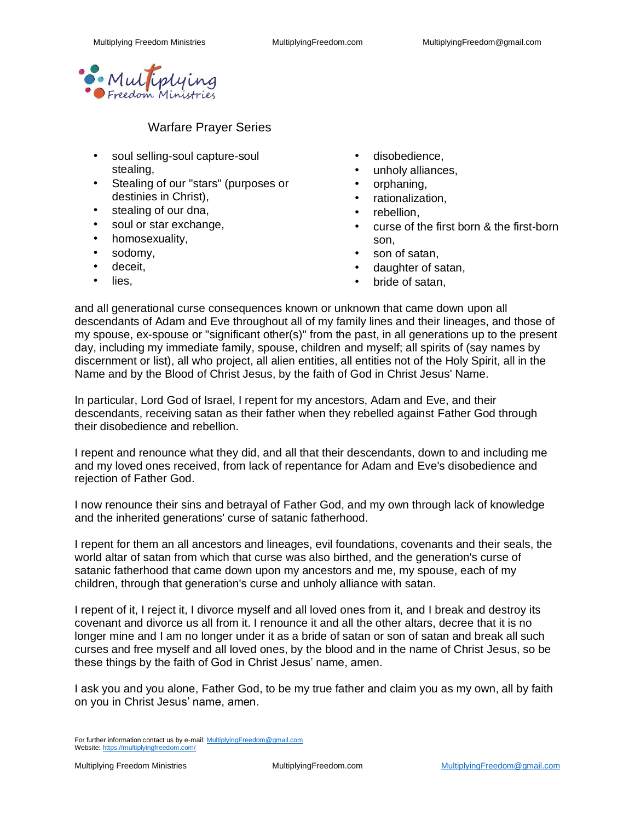

# Warfare Prayer Series

- soul selling-soul capture-soul stealing,
- Stealing of our "stars" (purposes or destinies in Christ),
- stealing of our dna,
- soul or star exchange,
- homosexuality,
- sodomy,
- deceit,
- lies,
- disobedience.
- unholy alliances,
- orphaning,
- rationalization,
- rebellion.
- curse of the first born & the first-born son,
- son of satan,
- daughter of satan,
- bride of satan.

and all generational curse consequences known or unknown that came down upon all descendants of Adam and Eve throughout all of my family lines and their lineages, and those of my spouse, ex-spouse or "significant other(s)" from the past, in all generations up to the present day, including my immediate family, spouse, children and myself; all spirits of (say names by discernment or list), all who project, all alien entities, all entities not of the Holy Spirit, all in the Name and by the Blood of Christ Jesus, by the faith of God in Christ Jesus' Name.

In particular, Lord God of Israel, I repent for my ancestors, Adam and Eve, and their descendants, receiving satan as their father when they rebelled against Father God through their disobedience and rebellion.

I repent and renounce what they did, and all that their descendants, down to and including me and my loved ones received, from lack of repentance for Adam and Eve's disobedience and rejection of Father God.

I now renounce their sins and betrayal of Father God, and my own through lack of knowledge and the inherited generations' curse of satanic fatherhood.

I repent for them an all ancestors and lineages, evil foundations, covenants and their seals, the world altar of satan from which that curse was also birthed, and the generation's curse of satanic fatherhood that came down upon my ancestors and me, my spouse, each of my children, through that generation's curse and unholy alliance with satan.

I repent of it, I reject it, I divorce myself and all loved ones from it, and I break and destroy its covenant and divorce us all from it. I renounce it and all the other altars, decree that it is no longer mine and I am no longer under it as a bride of satan or son of satan and break all such curses and free myself and all loved ones, by the blood and in the name of Christ Jesus, so be these things by the faith of God in Christ Jesus' name, amen.

I ask you and you alone, Father God, to be my true father and claim you as my own, all by faith on you in Christ Jesus' name, amen.

For further information contact us by e-mail[: MultiplyingFreedom@gmail.com](mailto:MultiplyingFreedom@gmail.com) Website[: https://multiplyingfreedom.com/](https://multiplyingfreedom.com/)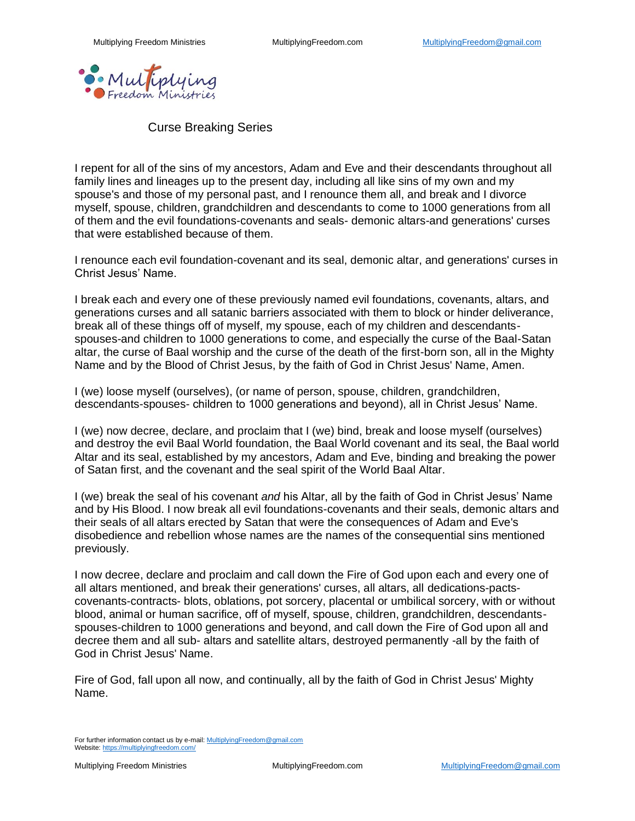

Curse Breaking Series

I repent for all of the sins of my ancestors, Adam and Eve and their descendants throughout all family lines and lineages up to the present day, including all like sins of my own and my spouse's and those of my personal past, and I renounce them all, and break and I divorce myself, spouse, children, grandchildren and descendants to come to 1000 generations from all of them and the evil foundations-covenants and seals- demonic altars-and generations' curses that were established because of them.

I renounce each evil foundation-covenant and its seal, demonic altar, and generations' curses in Christ Jesus' Name.

I break each and every one of these previously named evil foundations, covenants, altars, and generations curses and all satanic barriers associated with them to block or hinder deliverance, break all of these things off of myself, my spouse, each of my children and descendantsspouses-and children to 1000 generations to come, and especially the curse of the Baal-Satan altar, the curse of Baal worship and the curse of the death of the first-born son, all in the Mighty Name and by the Blood of Christ Jesus, by the faith of God in Christ Jesus' Name, Amen.

I (we) loose myself (ourselves), (or name of person, spouse, children, grandchildren, descendants-spouses- children to 1000 generations and beyond), all in Christ Jesus' Name.

I (we) now decree, declare, and proclaim that I (we) bind, break and loose myself (ourselves) and destroy the evil Baal World foundation, the Baal World covenant and its seal, the Baal world Altar and its seal, established by my ancestors, Adam and Eve, binding and breaking the power of Satan first, and the covenant and the seal spirit of the World Baal Altar.

I (we) break the seal of his covenant *and* his Altar, all by the faith of God in Christ Jesus' Name and by His Blood. I now break all evil foundations-covenants and their seals, demonic altars and their seals of all altars erected by Satan that were the consequences of Adam and Eve's disobedience and rebellion whose names are the names of the consequential sins mentioned previously.

I now decree, declare and proclaim and call down the Fire of God upon each and every one of all altars mentioned, and break their generations' curses, all altars, all dedications-pactscovenants-contracts- blots, oblations, pot sorcery, placental or umbilical sorcery, with or without blood, animal or human sacrifice, off of myself, spouse, children, grandchildren, descendantsspouses-children to 1000 generations and beyond, and call down the Fire of God upon all and decree them and all sub- altars and satellite altars, destroyed permanently -all by the faith of God in Christ Jesus' Name.

Fire of God, fall upon all now, and continually, all by the faith of God in Christ Jesus' Mighty Name.

For further information contact us by e-mail[: MultiplyingFreedom@gmail.com](mailto:MultiplyingFreedom@gmail.com) Website[: https://multiplyingfreedom.com/](https://multiplyingfreedom.com/)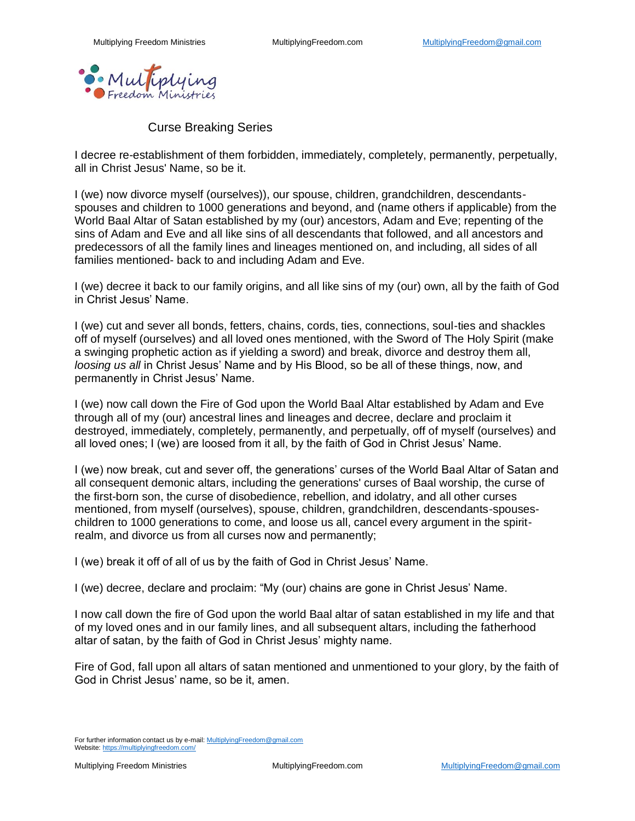

## Curse Breaking Series

I decree re-establishment of them forbidden, immediately, completely, permanently, perpetually, all in Christ Jesus' Name, so be it.

I (we) now divorce myself (ourselves)), our spouse, children, grandchildren, descendantsspouses and children to 1000 generations and beyond, and (name others if applicable) from the World Baal Altar of Satan established by my (our) ancestors, Adam and Eve; repenting of the sins of Adam and Eve and all like sins of all descendants that followed, and all ancestors and predecessors of all the family lines and lineages mentioned on, and including, all sides of all families mentioned- back to and including Adam and Eve.

I (we) decree it back to our family origins, and all like sins of my (our) own, all by the faith of God in Christ Jesus' Name.

I (we) cut and sever all bonds, fetters, chains, cords, ties, connections, soul-ties and shackles off of myself (ourselves) and all loved ones mentioned, with the Sword of The Holy Spirit (make a swinging prophetic action as if yielding a sword) and break, divorce and destroy them all, *loosing us all* in Christ Jesus' Name and by His Blood, so be all of these things, now, and permanently in Christ Jesus' Name.

I (we) now call down the Fire of God upon the World Baal Altar established by Adam and Eve through all of my (our) ancestral lines and lineages and decree, declare and proclaim it destroyed, immediately, completely, permanently, and perpetually, off of myself (ourselves) and all loved ones; I (we) are loosed from it all, by the faith of God in Christ Jesus' Name.

I (we) now break, cut and sever off, the generations' curses of the World Baal Altar of Satan and all consequent demonic altars, including the generations' curses of Baal worship, the curse of the first-born son, the curse of disobedience, rebellion, and idolatry, and all other curses mentioned, from myself (ourselves), spouse, children, grandchildren, descendants-spouseschildren to 1000 generations to come, and loose us all, cancel every argument in the spiritrealm, and divorce us from all curses now and permanently;

I (we) break it off of all of us by the faith of God in Christ Jesus' Name.

I (we) decree, declare and proclaim: "My (our) chains are gone in Christ Jesus' Name.

I now call down the fire of God upon the world Baal altar of satan established in my life and that of my loved ones and in our family lines, and all subsequent altars, including the fatherhood altar of satan, by the faith of God in Christ Jesus' mighty name.

Fire of God, fall upon all altars of satan mentioned and unmentioned to your glory, by the faith of God in Christ Jesus' name, so be it, amen.

For further information contact us by e-mail[: MultiplyingFreedom@gmail.com](mailto:MultiplyingFreedom@gmail.com) Website[: https://multiplyingfreedom.com/](https://multiplyingfreedom.com/)